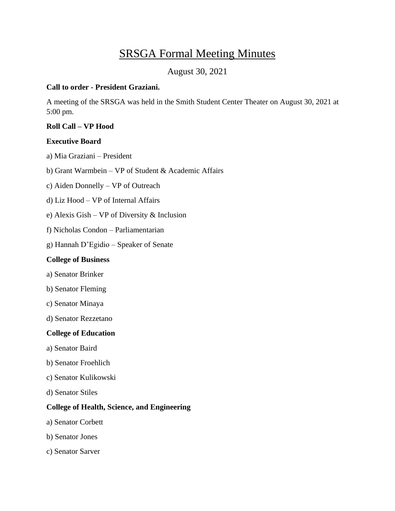# SRSGA Formal Meeting Minutes

# August 30, 2021

## **Call to order - President Graziani.**

A meeting of the SRSGA was held in the Smith Student Center Theater on August 30, 2021 at 5:00 pm.

## **Roll Call – VP Hood**

## **Executive Board**

a) Mia Graziani – President

b) Grant Warmbein – VP of Student & Academic Affairs

c) Aiden Donnelly – VP of Outreach

d) Liz Hood – VP of Internal Affairs

e) Alexis Gish – VP of Diversity & Inclusion

f) Nicholas Condon – Parliamentarian

g) Hannah D'Egidio – Speaker of Senate

## **College of Business**

- a) Senator Brinker
- b) Senator Fleming
- c) Senator Minaya
- d) Senator Rezzetano

#### **College of Education**

- a) Senator Baird
- b) Senator Froehlich
- c) Senator Kulikowski
- d) Senator Stiles

#### **College of Health, Science, and Engineering**

- a) Senator Corbett
- b) Senator Jones
- c) Senator Sarver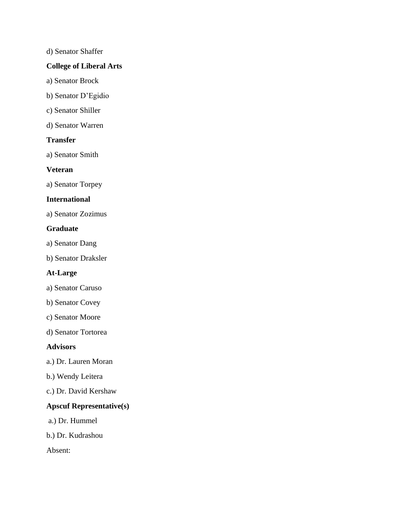#### d) Senator Shaffer

## **College of Liberal Arts**

- a) Senator Brock
- b) Senator D'Egidio
- c) Senator Shiller
- d) Senator Warren

## **Transfer**

a) Senator Smith

#### **Veteran**

a) Senator Torpey

## **International**

a) Senator Zozimus

#### **Graduate**

a) Senator Dang

b) Senator Draksler

## **At-Large**

- a) Senator Caruso
- b) Senator Covey
- c) Senator Moore
- d) Senator Tortorea

#### **Advisors**

- a.) Dr. Lauren Moran
- b.) Wendy Leitera
- c.) Dr. David Kershaw

## **Apscuf Representative(s)**

- a.) Dr. Hummel
- b.) Dr. Kudrashou

Absent: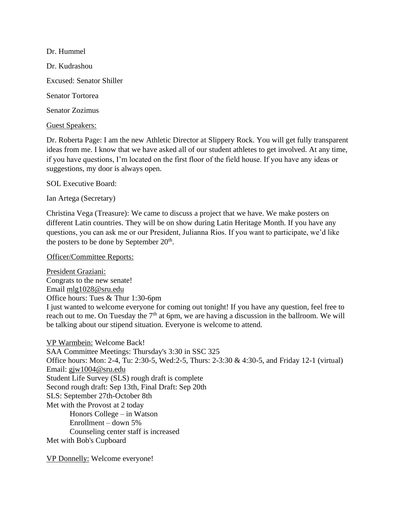Dr. Hummel Dr. Kudrashou Excused: Senator Shiller Senator Tortorea Senator Zozimus

Guest Speakers:

Dr. Roberta Page: I am the new Athletic Director at Slippery Rock. You will get fully transparent ideas from me. I know that we have asked all of our student athletes to get involved. At any time, if you have questions, I'm located on the first floor of the field house. If you have any ideas or suggestions, my door is always open.

SOL Executive Board:

Ian Artega (Secretary)

Christina Vega (Treasure): We came to discuss a project that we have. We make posters on different Latin countries. They will be on show during Latin Heritage Month. If you have any questions, you can ask me or our President, Julianna Rios. If you want to participate, we'd like the posters to be done by September  $20<sup>th</sup>$ .

Officer/Committee Reports:

President Graziani: Congrats to the new senate! Email [mlg1028@sru.edu](mailto:mlg1028@sru.edu) Office hours: Tues & Thur 1:30-6pm I just wanted to welcome everyone for coming out tonight! If you have any question, feel free to reach out to me. On Tuesday the  $7<sup>th</sup>$  at 6pm, we are having a discussion in the ballroom. We will be talking about our stipend situation. Everyone is welcome to attend.

VP Warmbein: Welcome Back! SAA Committee Meetings: Thursday's 3:30 in SSC 325 Office hours: Mon: 2-4, Tu: 2:30-5, Wed:2-5, Thurs: 2-3:30 & 4:30-5, and Friday 12-1 (virtual) Email: [gjw1004@sru.edu](mailto:gjw1004@sru.edu) Student Life Survey (SLS) rough draft is complete Second rough draft: Sep 13th, Final Draft: Sep 20th SLS: September 27th-October 8th Met with the Provost at 2 today Honors College – in Watson Enrollment – down 5% Counseling center staff is increased Met with Bob's Cupboard

VP Donnelly: Welcome everyone!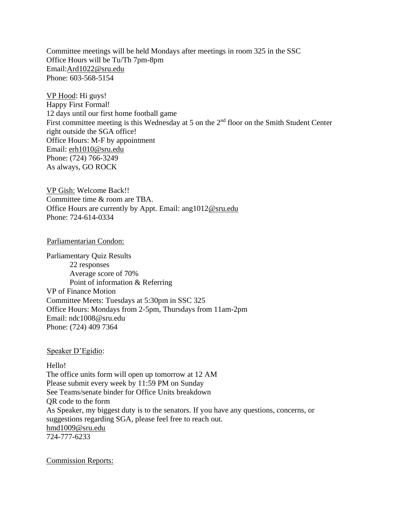Committee meetings will be held Mondays after meetings in room 325 in the SSC Office Hours will be Tu/Th 7pm-8pm Email[:Ard1022@sru.edu](mailto:Ard1022@sru.edu) Phone: 603-568-5154

VP Hood: Hi guys! Happy First Formal! 12 days until our first home football game First committee meeting is this Wednesday at 5 on the 2<sup>nd</sup> floor on the Smith Student Center right outside the SGA office! Office Hours: M-F by appointment Email: [erh1010@sru.edu](mailto:erh1010@sru.edu) Phone: (724) 766-3249 As always, GO ROCK

VP Gish: Welcome Back!! Committee time & room are TBA. Office Hours are currently by Appt. Email: ang101[2@sru.edu](mailto:Ard1022@sru.edu) Phone: 724-614-0334

Parliamentarian Condon:

Parliamentary Quiz Results 22 responses Average score of 70% Point of information & Referring VP of Finance Motion Committee Meets: Tuesdays at 5:30pm in SSC 325 Office Hours: Mondays from 2-5pm, Thursdays from 11am-2pm Email: ndc1008@sru.edu Phone: (724) 409 7364

Speaker D'Egidio:

Hello! The office units form will open up tomorrow at 12 AM Please submit every week by 11:59 PM on Sunday See Teams/senate binder for Office Units breakdown QR code to the form As Speaker, my biggest duty is to the senators. If you have any questions, concerns, or suggestions regarding SGA, please feel free to reach out. [hmd1009@sru.edu](mailto:hmd1009@sru.edu) 724-777-6233

Commission Reports: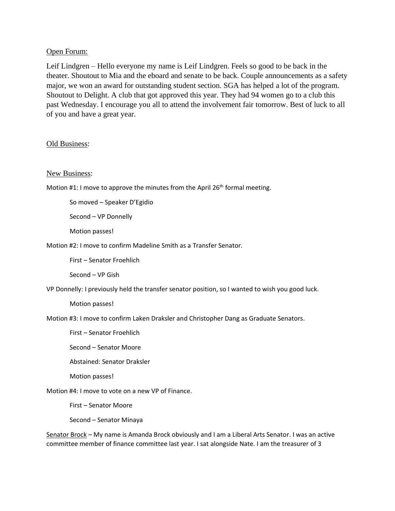#### Open Forum:

Leif Lindgren – Hello everyone my name is Leif Lindgren. Feels so good to be back in the theater. Shoutout to Mia and the eboard and senate to be back. Couple announcements as a safety major, we won an award for outstanding student section. SGA has helped a lot of the program. Shoutout to Delight. A club that got approved this year. They had 94 women go to a club this past Wednesday. I encourage you all to attend the involvement fair tomorrow. Best of luck to all of you and have a great year.

#### Old Business:

#### New Business:

Motion #1: I move to approve the minutes from the April 26<sup>th</sup> formal meeting.

So moved – Speaker D'Egidio

Second – VP Donnelly

Motion passes!

Motion #2: I move to confirm Madeline Smith as a Transfer Senator.

First – Senator Froehlich

Second – VP Gish

VP Donnelly: I previously held the transfer senator position, so I wanted to wish you good luck.

Motion passes!

Motion #3: I move to confirm Laken Draksler and Christopher Dang as Graduate Senators.

First – Senator Froehlich

Second – Senator Moore

Abstained: Senator Draksler

Motion passes!

Motion #4: I move to vote on a new VP of Finance.

First – Senator Moore

Second – Senator Minaya

Senator Brock – My name is Amanda Brock obviously and I am a Liberal Arts Senator. I was an active committee member of finance committee last year. I sat alongside Nate. I am the treasurer of 3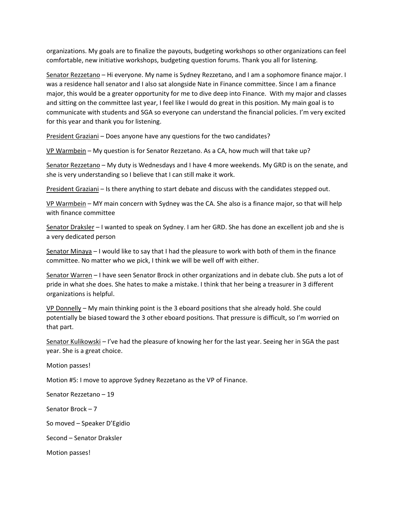organizations. My goals are to finalize the payouts, budgeting workshops so other organizations can feel comfortable, new initiative workshops, budgeting question forums. Thank you all for listening.

Senator Rezzetano – Hi everyone. My name is Sydney Rezzetano, and I am a sophomore finance major. I was a residence hall senator and I also sat alongside Nate in Finance committee. Since I am a finance major, this would be a greater opportunity for me to dive deep into Finance. With my major and classes and sitting on the committee last year, I feel like I would do great in this position. My main goal is to communicate with students and SGA so everyone can understand the financial policies. I'm very excited for this year and thank you for listening.

President Graziani – Does anyone have any questions for the two candidates?

VP Warmbein – My question is for Senator Rezzetano. As a CA, how much will that take up?

Senator Rezzetano – My duty is Wednesdays and I have 4 more weekends. My GRD is on the senate, and she is very understanding so I believe that I can still make it work.

President Graziani – Is there anything to start debate and discuss with the candidates stepped out.

VP Warmbein – MY main concern with Sydney was the CA. She also is a finance major, so that will help with finance committee

Senator Draksler – I wanted to speak on Sydney. I am her GRD. She has done an excellent job and she is a very dedicated person

Senator Minaya – I would like to say that I had the pleasure to work with both of them in the finance committee. No matter who we pick, I think we will be well off with either.

Senator Warren – I have seen Senator Brock in other organizations and in debate club. She puts a lot of pride in what she does. She hates to make a mistake. I think that her being a treasurer in 3 different organizations is helpful.

VP Donnelly – My main thinking point is the 3 eboard positions that she already hold. She could potentially be biased toward the 3 other eboard positions. That pressure is difficult, so I'm worried on that part.

Senator Kulikowski – I've had the pleasure of knowing her for the last year. Seeing her in SGA the past year. She is a great choice.

Motion passes!

Motion #5: I move to approve Sydney Rezzetano as the VP of Finance.

Senator Rezzetano – 19

Senator Brock – 7

So moved – Speaker D'Egidio

Second – Senator Draksler

Motion passes!